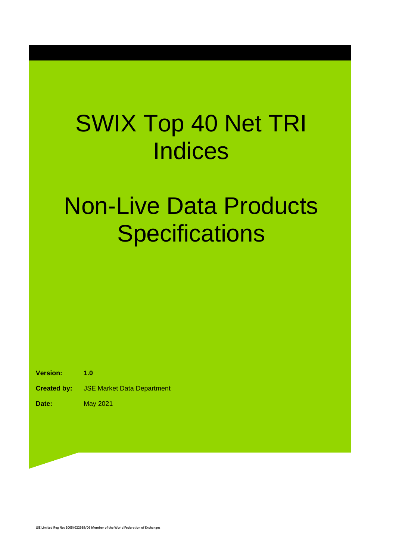## SWIX Top 40 Net TRI **Indices**

## Non-Live Data Products **Specifications**

**Version: 1.0**

**Created by:** JSE Market Data Department

**Date:** May 2021

**JSE Limited Reg No: 2005/022939/06 Member of the World Federation of Exchanges**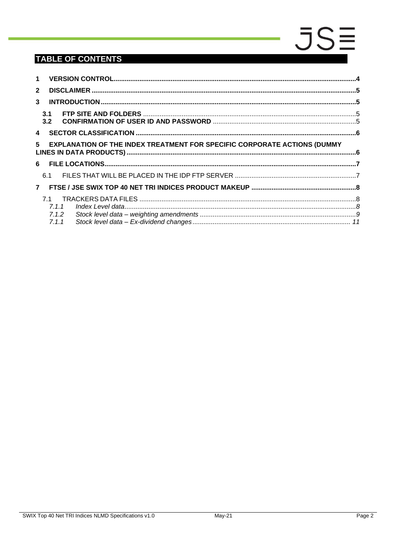### **TABLE OF CONTENTS**

|              | $1 \quad$                                                                       |  |
|--------------|---------------------------------------------------------------------------------|--|
| $\mathbf{2}$ |                                                                                 |  |
| 3            |                                                                                 |  |
|              | 3.1<br>3.2                                                                      |  |
|              |                                                                                 |  |
| 5            | <b>EXPLANATION OF THE INDEX TREATMENT FOR SPECIFIC CORPORATE ACTIONS (DUMMY</b> |  |
|              |                                                                                 |  |
|              | 6.1                                                                             |  |
|              | 7 <sup>7</sup>                                                                  |  |
|              | 71<br>7.1.1                                                                     |  |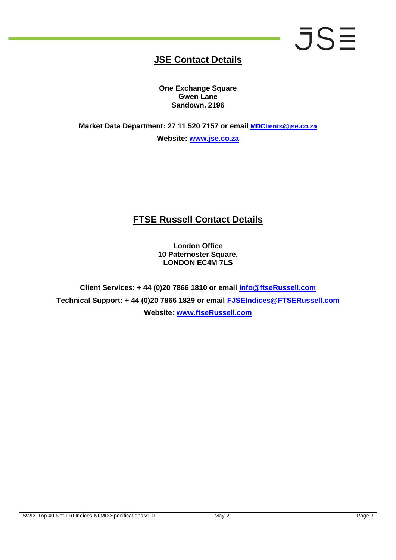# **JSE**

### **JSE Contact Details**

**One Exchange Square Gwen Lane Sandown, 2196**

**Market Data Department: 27 11 520 7157 or email [MDClients@jse.co.za](mailto:MDClients@jse.co.za) Website: [www.jse.co.za](http://www.jse.co.za/)**

### **FTSE Russell Contact Details**

**London Office 10 Paternoster Square, LONDON EC4M 7LS**

**Client Services: + 44 (0)20 7866 1810 or email info@ftseRussell.com Technical Support: + 44 (0)20 7866 1829 or email [FJSEIndices@FTSERussell.com](mailto:FJSEIndices@FTSERussell.com) Website: [www.ftseRussell.com](http://www.ftserussell.com/)**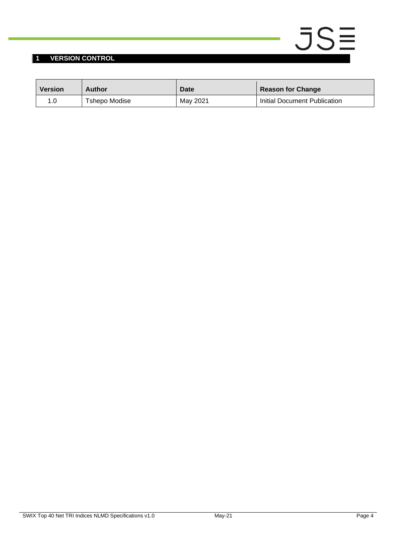#### <span id="page-3-0"></span>**1 VERSION CONTROL**

| <b>Version</b> | Author        | <b>Date</b> | <b>Reason for Change</b>     |
|----------------|---------------|-------------|------------------------------|
|                | Tshepo Modise | May 2021    | Initial Document Publication |

 $JSE$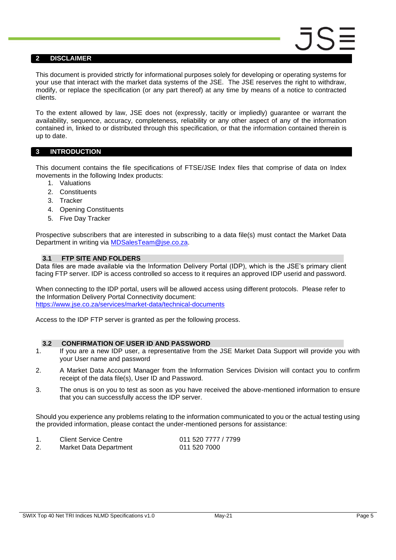#### <span id="page-4-0"></span>**2 DISCLAIMER**

This document is provided strictly for informational purposes solely for developing or operating systems for your use that interact with the market data systems of the JSE. The JSE reserves the right to withdraw, modify, or replace the specification (or any part thereof) at any time by means of a notice to contracted clients.

To the extent allowed by law, JSE does not (expressly, tacitly or impliedly) guarantee or warrant the availability, sequence, accuracy, completeness, reliability or any other aspect of any of the information contained in, linked to or distributed through this specification, or that the information contained therein is up to date.

#### <span id="page-4-1"></span>**3 INTRODUCTION**

This document contains the file specifications of FTSE/JSE Index files that comprise of data on Index movements in the following Index products:

- 1. Valuations
- 2. Constituents
- 3. Tracker
- 4. Opening Constituents
- 5. Five Day Tracker

Prospective subscribers that are interested in subscribing to a data file(s) must contact the Market Data Department in writing via [MDSalesTeam@jse.co.za.](mailto:MDSalesTeam@jse.co.za)

#### <span id="page-4-2"></span>**3.1 FTP SITE AND FOLDERS**

Data files are made available via the Information Delivery Portal (IDP), which is the JSE's primary client facing FTP server. IDP is access controlled so access to it requires an approved IDP userid and password.

When connecting to the IDP portal, users will be allowed access using different protocols. Please refer to the Information Delivery Portal Connectivity document: <https://www.jse.co.za/services/market-data/technical-documents>

Access to the IDP FTP server is granted as per the following process.

#### <span id="page-4-3"></span>**3.2 CONFIRMATION OF USER ID AND PASSWORD**

- 1. If you are a new IDP user, a representative from the JSE Market Data Support will provide you with your User name and password
- 2. A Market Data Account Manager from the Information Services Division will contact you to confirm receipt of the data file(s), User ID and Password.
- 3. The onus is on you to test as soon as you have received the above-mentioned information to ensure that you can successfully access the IDP server.

Should you experience any problems relating to the information communicated to you or the actual testing using the provided information, please contact the under-mentioned persons for assistance:

| <b>Client Service Centre</b> | 011 520 7777 / 7799 |
|------------------------------|---------------------|
| Market Data Department       | 011 520 7000        |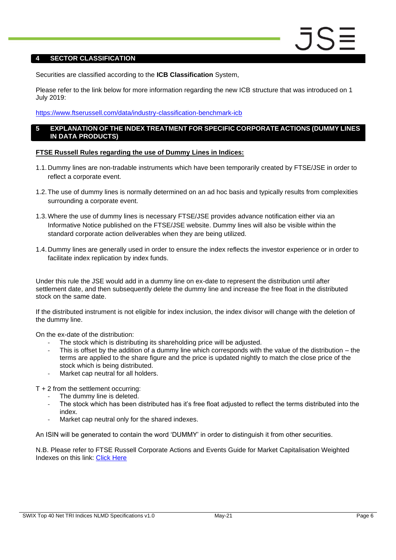#### <span id="page-5-0"></span>**4 SECTOR CLASSIFICATION**

Securities are classified according to the **ICB Classification** System,

Please refer to the link below for more information regarding the new ICB structure that was introduced on 1 July 2019:

#### <https://www.ftserussell.com/data/industry-classification-benchmark-icb>

#### <span id="page-5-1"></span>**5 EXPLANATION OF THE INDEX TREATMENT FOR SPECIFIC CORPORATE ACTIONS (DUMMY LINES IN DATA PRODUCTS)**

#### **FTSE Russell Rules regarding the use of Dummy Lines in Indices:**

- 1.1. Dummy lines are non-tradable instruments which have been temporarily created by FTSE/JSE in order to reflect a corporate event.
- 1.2.The use of dummy lines is normally determined on an ad hoc basis and typically results from complexities surrounding a corporate event.
- 1.3.Where the use of dummy lines is necessary FTSE/JSE provides advance notification either via an Informative Notice published on the FTSE/JSE website. Dummy lines will also be visible within the standard corporate action deliverables when they are being utilized.
- 1.4. Dummy lines are generally used in order to ensure the index reflects the investor experience or in order to facilitate index replication by index funds.

Under this rule the JSE would add in a dummy line on ex-date to represent the distribution until after settlement date, and then subsequently delete the dummy line and increase the free float in the distributed stock on the same date.

If the distributed instrument is not eligible for index inclusion, the index divisor will change with the deletion of the dummy line.

On the ex-date of the distribution:

- The stock which is distributing its shareholding price will be adjusted.
- This is offset by the addition of a dummy line which corresponds with the value of the distribution  $-$  the terms are applied to the share figure and the price is updated nightly to match the close price of the stock which is being distributed.
- Market cap neutral for all holders.

T + 2 from the settlement occurring:

- The dummy line is deleted.
- The stock which has been distributed has it's free float adjusted to reflect the terms distributed into the index.
- Market cap neutral only for the shared indexes.

An ISIN will be generated to contain the word 'DUMMY' in order to distinguish it from other securities.

N.B. Please refer to FTSE Russell Corporate Actions and Events Guide for Market Capitalisation Weighted Indexes on this link: [Click Here](https://research.ftserussell.com/products/downloads/Corporate_Actions_and_Events_Guide.pdf)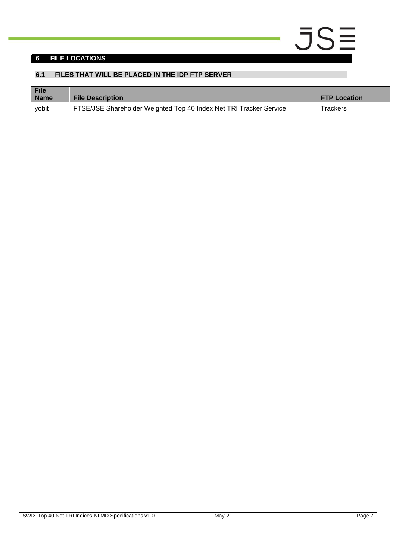#### <span id="page-6-0"></span>**6 FILE LOCATIONS**

#### <span id="page-6-1"></span>**6.1 FILES THAT WILL BE PLACED IN THE IDP FTP SERVER**

| File<br><b>Name</b> | <b>File Description</b>                                            | <b>FTP Location</b> |
|---------------------|--------------------------------------------------------------------|---------------------|
| vobit               | FTSE/JSE Shareholder Weighted Top 40 Index Net TRI Tracker Service | Trackers            |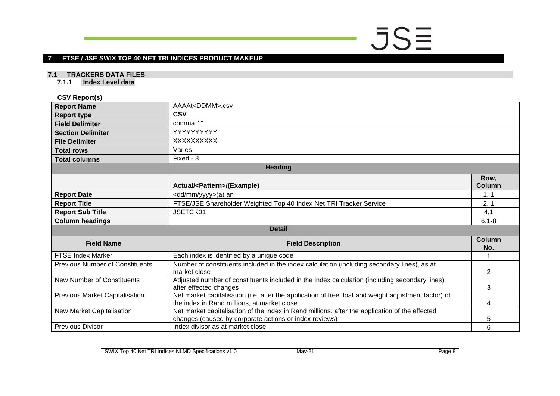# $JSE$

#### **7 FTSE / JSE SWIX TOP 40 NET TRI INDICES PRODUCT MAKEUP**

#### **7.1 TRACKERS DATA FILES**

**7.1.1 Index Level data**

#### **CSV Report(s)**

<span id="page-7-2"></span><span id="page-7-1"></span><span id="page-7-0"></span>

| <b>Report Name</b>                     | AAAAt <ddmm>.csv</ddmm>                                                                                                                                  |                       |  |  |
|----------------------------------------|----------------------------------------------------------------------------------------------------------------------------------------------------------|-----------------------|--|--|
| <b>Report type</b>                     | <b>CSV</b>                                                                                                                                               |                       |  |  |
| <b>Field Delimiter</b>                 | comma","                                                                                                                                                 |                       |  |  |
| <b>Section Delimiter</b>               | YYYYYYYYY                                                                                                                                                |                       |  |  |
| <b>File Delimiter</b>                  | XXXXXXXXX                                                                                                                                                |                       |  |  |
| <b>Total rows</b>                      | Varies                                                                                                                                                   |                       |  |  |
| <b>Total columns</b>                   | Fixed - 8                                                                                                                                                |                       |  |  |
|                                        | <b>Heading</b>                                                                                                                                           |                       |  |  |
|                                        | Actual/ <pattern>/(Example)</pattern>                                                                                                                    | Row,<br><b>Column</b> |  |  |
| <b>Report Date</b>                     | <dd mm="" yyyy="">(a) an</dd>                                                                                                                            | 1, 1                  |  |  |
| <b>Report Title</b>                    | FTSE/JSE Shareholder Weighted Top 40 Index Net TRI Tracker Service                                                                                       | 2, 1                  |  |  |
| <b>Report Sub Title</b>                | JSETCK01                                                                                                                                                 | 4,1                   |  |  |
| <b>Column headings</b>                 |                                                                                                                                                          | $6, 1 - 8$            |  |  |
|                                        | <b>Detail</b>                                                                                                                                            |                       |  |  |
| <b>Field Name</b>                      | <b>Field Description</b>                                                                                                                                 | <b>Column</b><br>No.  |  |  |
| <b>FTSE Index Marker</b>               | Each index is identified by a unique code                                                                                                                |                       |  |  |
| <b>Previous Number of Constituents</b> | Number of constituents included in the index calculation (including secondary lines), as at<br>market close                                              | 2                     |  |  |
| <b>New Number of Constituents</b>      | Adjusted number of constituents included in the index calculation (including secondary lines),<br>after effected changes                                 | 3                     |  |  |
| <b>Previous Market Capitalisation</b>  | Net market capitalisation (i.e. after the application of free float and weight adjustment factor) of<br>the index in Rand millions, at market close      | 4                     |  |  |
| New Market Capitalisation              | Net market capitalisation of the index in Rand millions, after the application of the effected<br>changes (caused by corporate actions or index reviews) | 5                     |  |  |
| <b>Previous Divisor</b>                | Index divisor as at market close                                                                                                                         | 6                     |  |  |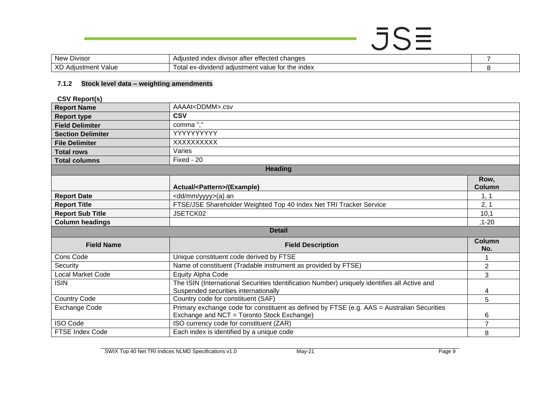### $JSE$ New Divisor Adjusted index divisor after effected changes<br>
XD Adjustment Value Total ex-dividend adjustment value for the index<br>
8 Total ex-dividend adjustment value for the index 8

#### **7.1.2 Stock level data – weighting amendments**

**CSV Report(s)**

<span id="page-8-0"></span>

| <b>Report Name</b>       | AAAAt <ddmm>.csv</ddmm>                                                                      |                |  |
|--------------------------|----------------------------------------------------------------------------------------------|----------------|--|
| <b>Report type</b>       | <b>CSV</b>                                                                                   |                |  |
| <b>Field Delimiter</b>   | comma","                                                                                     |                |  |
| <b>Section Delimiter</b> | YYYYYYYYY                                                                                    |                |  |
| <b>File Delimiter</b>    | XXXXXXXXX                                                                                    |                |  |
| <b>Total rows</b>        | Varies                                                                                       |                |  |
| <b>Total columns</b>     | Fixed - 20                                                                                   |                |  |
|                          | <b>Heading</b>                                                                               |                |  |
|                          |                                                                                              | Row,           |  |
|                          | Actual/ <pattern>/(Example)</pattern>                                                        | <b>Column</b>  |  |
| <b>Report Date</b>       | <dd mm="" yyyy="">(a) an</dd>                                                                | 1, 1           |  |
| <b>Report Title</b>      | FTSE/JSE Shareholder Weighted Top 40 Index Net TRI Tracker Service                           | 2, 1           |  |
| <b>Report Sub Title</b>  | JSETCK02                                                                                     | 10,1           |  |
| <b>Column headings</b>   |                                                                                              | $, 1 - 20$     |  |
| <b>Detail</b>            |                                                                                              |                |  |
| <b>Field Name</b>        | <b>Field Description</b>                                                                     | Column<br>No.  |  |
| Cons Code                | Unique constituent code derived by FTSE                                                      |                |  |
| Security                 | Name of constituent (Tradable instrument as provided by FTSE)                                | $\overline{2}$ |  |
| <b>Local Market Code</b> | Equity Alpha Code                                                                            | 3              |  |
| <b>ISIN</b>              | The ISIN (International Securities Identification Number) uniquely identifies all Active and |                |  |
|                          | Suspended securities internationally                                                         | 4              |  |
| <b>Country Code</b>      | Country code for constituent (SAF)                                                           | 5              |  |
| <b>Exchange Code</b>     | Primary exchange code for constituent as defined by FTSE (e.g. AAS = Australian Securities   |                |  |
|                          | Exchange and NCT = Toronto Stock Exchange)                                                   | 6              |  |
| <b>ISO Code</b>          | ISO currency code for constituent (ZAR)                                                      | $\overline{7}$ |  |
| <b>FTSE Index Code</b>   | Each index is identified by a unique code                                                    | 8              |  |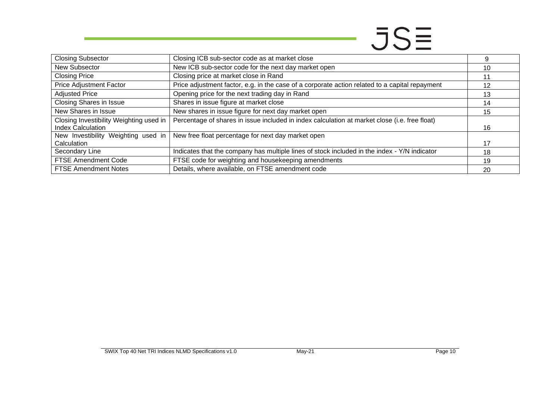## $JS\equiv$

| <b>Closing Subsector</b>                                        | Closing ICB sub-sector code as at market close                                                 |    |
|-----------------------------------------------------------------|------------------------------------------------------------------------------------------------|----|
| New Subsector                                                   | New ICB sub-sector code for the next day market open                                           | 10 |
| <b>Closing Price</b>                                            | Closing price at market close in Rand                                                          |    |
| Price Adjustment Factor                                         | Price adjustment factor, e.g. in the case of a corporate action related to a capital repayment | 12 |
| <b>Adjusted Price</b>                                           | Opening price for the next trading day in Rand                                                 | 13 |
| <b>Closing Shares in Issue</b>                                  | Shares in issue figure at market close                                                         | 14 |
| New Shares in Issue                                             | New shares in issue figure for next day market open                                            | 15 |
| Closing Investibility Weighting used in                         | Percentage of shares in issue included in index calculation at market close (i.e. free float)  |    |
| <b>Index Calculation</b><br>New Investibility Weighting used in | New free float percentage for next day market open                                             | 16 |
| Calculation                                                     |                                                                                                |    |
| Secondary Line                                                  | Indicates that the company has multiple lines of stock included in the index - Y/N indicator   | 18 |
| FTSE Amendment Code                                             | FTSE code for weighting and housekeeping amendments                                            | 19 |
| <b>FTSE Amendment Notes</b>                                     | Details, where available, on FTSE amendment code                                               | 20 |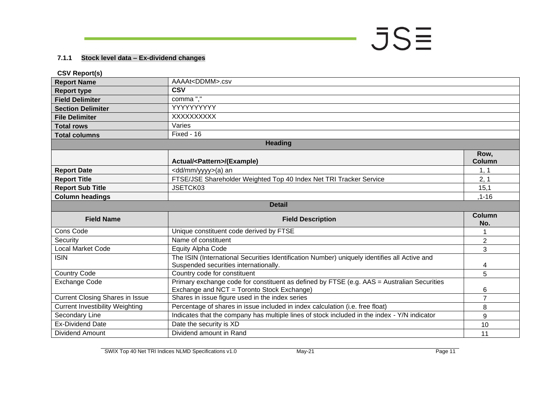#### **7.1.1 Stock level data – Ex-dividend changes**

<span id="page-10-0"></span>

| <b>CSV Report(s)</b>                   |                                                                                                                                          |                       |
|----------------------------------------|------------------------------------------------------------------------------------------------------------------------------------------|-----------------------|
| <b>Report Name</b>                     | AAAAt <ddmm>.csv</ddmm>                                                                                                                  |                       |
| <b>Report type</b>                     | <b>CSV</b>                                                                                                                               |                       |
| <b>Field Delimiter</b>                 | comma","                                                                                                                                 |                       |
| <b>Section Delimiter</b>               | YYYYYYYYYY                                                                                                                               |                       |
| <b>File Delimiter</b>                  | XXXXXXXXX                                                                                                                                |                       |
| <b>Total rows</b>                      | Varies                                                                                                                                   |                       |
| <b>Total columns</b>                   | Fixed - 16                                                                                                                               |                       |
|                                        | <b>Heading</b>                                                                                                                           |                       |
|                                        | Actual/ <pattern>/(Example)</pattern>                                                                                                    | Row,<br><b>Column</b> |
| <b>Report Date</b>                     | <dd mm="" yyyy="">(a) an</dd>                                                                                                            | 1, 1                  |
| <b>Report Title</b>                    | FTSE/JSE Shareholder Weighted Top 40 Index Net TRI Tracker Service                                                                       | 2, 1                  |
| <b>Report Sub Title</b>                | JSETCK03                                                                                                                                 | 15,1                  |
| <b>Column headings</b>                 |                                                                                                                                          | $, 1 - 16$            |
|                                        | <b>Detail</b>                                                                                                                            |                       |
| <b>Field Name</b>                      | <b>Field Description</b>                                                                                                                 | <b>Column</b><br>No.  |
| Cons Code                              | Unique constituent code derived by FTSE                                                                                                  |                       |
| Security                               | Name of constituent                                                                                                                      | $\overline{2}$        |
| <b>Local Market Code</b>               | <b>Equity Alpha Code</b>                                                                                                                 | 3                     |
| <b>ISIN</b>                            | The ISIN (International Securities Identification Number) uniquely identifies all Active and<br>Suspended securities internationally.    | 4                     |
| <b>Country Code</b>                    | Country code for constituent                                                                                                             | 5                     |
| <b>Exchange Code</b>                   | Primary exchange code for constituent as defined by FTSE (e.g. AAS = Australian Securities<br>Exchange and NCT = Toronto Stock Exchange) | 6                     |
| <b>Current Closing Shares in Issue</b> | Shares in issue figure used in the index series                                                                                          |                       |
| <b>Current Investibility Weighting</b> | Percentage of shares in issue included in index calculation (i.e. free float)                                                            | 8                     |
| Secondary Line                         | Indicates that the company has multiple lines of stock included in the index - Y/N indicator                                             | 9                     |
| <b>Ex-Dividend Date</b>                | Date the security is XD                                                                                                                  | 10                    |
| <b>Dividend Amount</b>                 | Dividend amount in Rand                                                                                                                  | 11                    |

 $JS\equiv$